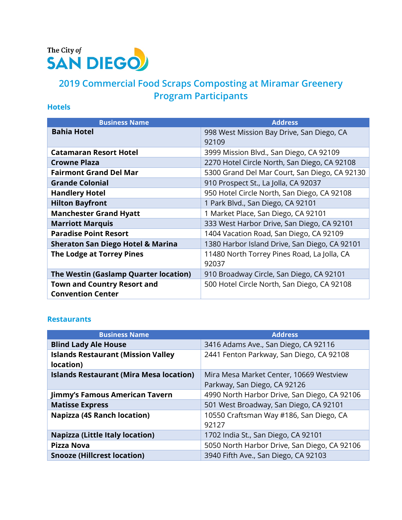

# **2019 Commercial Food Scraps Composting at Miramar Greenery Program Participants**

### **Hotels**

| <b>Business Name</b>                         | <b>Address</b>                                       |
|----------------------------------------------|------------------------------------------------------|
| <b>Bahia Hotel</b>                           | 998 West Mission Bay Drive, San Diego, CA<br>92109   |
| <b>Catamaran Resort Hotel</b>                | 3999 Mission Blvd., San Diego, CA 92109              |
| <b>Crowne Plaza</b>                          | 2270 Hotel Circle North, San Diego, CA 92108         |
| <b>Fairmont Grand Del Mar</b>                | 5300 Grand Del Mar Court, San Diego, CA 92130        |
| <b>Grande Colonial</b>                       | 910 Prospect St., La Jolla, CA 92037                 |
| <b>Handlery Hotel</b>                        | 950 Hotel Circle North, San Diego, CA 92108          |
| <b>Hilton Bayfront</b>                       | 1 Park Blvd., San Diego, CA 92101                    |
| <b>Manchester Grand Hyatt</b>                | 1 Market Place, San Diego, CA 92101                  |
| <b>Marriott Marquis</b>                      | 333 West Harbor Drive, San Diego, CA 92101           |
| <b>Paradise Point Resort</b>                 | 1404 Vacation Road, San Diego, CA 92109              |
| <b>Sheraton San Diego Hotel &amp; Marina</b> | 1380 Harbor Island Drive, San Diego, CA 92101        |
| <b>The Lodge at Torrey Pines</b>             | 11480 North Torrey Pines Road, La Jolla, CA<br>92037 |
| The Westin (Gaslamp Quarter location)        | 910 Broadway Circle, San Diego, CA 92101             |
| <b>Town and Country Resort and</b>           | 500 Hotel Circle North, San Diego, CA 92108          |
| <b>Convention Center</b>                     |                                                      |

#### **Restaurants**

| <b>Business Name</b>                                   | <b>Address</b>                                                          |
|--------------------------------------------------------|-------------------------------------------------------------------------|
| <b>Blind Lady Ale House</b>                            | 3416 Adams Ave., San Diego, CA 92116                                    |
| <b>Islands Restaurant (Mission Valley</b><br>location) | 2441 Fenton Parkway, San Diego, CA 92108                                |
| <b>Islands Restaurant (Mira Mesa location)</b>         | Mira Mesa Market Center, 10669 Westview<br>Parkway, San Diego, CA 92126 |
| Jimmy's Famous American Tavern                         | 4990 North Harbor Drive, San Diego, CA 92106                            |
| <b>Matisse Express</b>                                 | 501 West Broadway, San Diego, CA 92101                                  |
| <b>Napizza (4S Ranch location)</b>                     | 10550 Craftsman Way #186, San Diego, CA<br>92127                        |
| <b>Napizza (Little Italy location)</b>                 | 1702 India St., San Diego, CA 92101                                     |
| <b>Pizza Nova</b>                                      | 5050 North Harbor Drive, San Diego, CA 92106                            |
| <b>Snooze (Hillcrest location)</b>                     | 3940 Fifth Ave., San Diego, CA 92103                                    |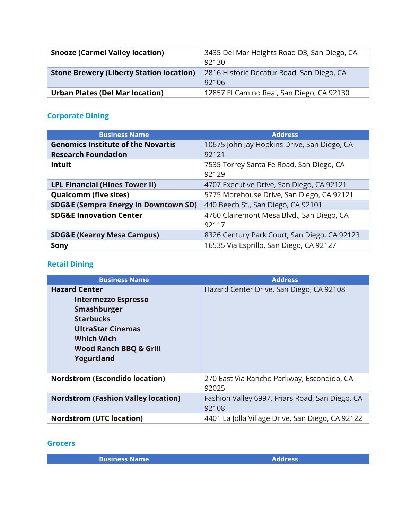| <b>Snooze (Carmel Valley location)</b>          | 3435 Del Mar Heights Road D3, San Diego, CA<br>92130 |
|-------------------------------------------------|------------------------------------------------------|
| <b>Stone Brewery (Liberty Station location)</b> | 2816 Historic Decatur Road, San Diego, CA<br>92106   |
| <b>Urban Plates (Del Mar location)</b>          | 12857 El Camino Real, San Diego, CA 92130            |

# **Corporate Dining**

| <b>Business Name</b>                            | <b>Address</b>                                     |
|-------------------------------------------------|----------------------------------------------------|
| <b>Genomics Institute of the Novartis</b>       | 10675 John Jay Hopkins Drive, San Diego, CA        |
| <b>Research Foundation</b>                      | 92121                                              |
| <b>Intuit</b>                                   | 7535 Torrey Santa Fe Road, San Diego, CA<br>92129  |
| <b>LPL Financial (Hines Tower II)</b>           | 4707 Executive Drive, San Diego, CA 92121          |
| <b>Qualcomm (five sites)</b>                    | 5775 Morehouse Drive, San Diego, CA 92121          |
| <b>SDG&amp;E (Sempra Energy in Downtown SD)</b> | 440 Beech St., San Diego, CA 92101                 |
| <b>SDG&amp;E Innovation Center</b>              | 4760 Clairemont Mesa Blvd., San Diego, CA<br>92117 |
| <b>SDG&amp;E (Kearny Mesa Campus)</b>           | 8326 Century Park Court, San Diego, CA 92123       |
| Sony                                            | 16535 Via Esprillo, San Diego, CA 92127            |

# **Retail Dining**

| <b>Business Name</b>                                                                                                                                                                      | <b>Address</b>                                           |
|-------------------------------------------------------------------------------------------------------------------------------------------------------------------------------------------|----------------------------------------------------------|
| <b>Hazard Center</b><br><b>Intermezzo Espresso</b><br>Smashburger<br><b>Starbucks</b><br><b>UltraStar Cinemas</b><br><b>Which Wich</b><br><b>Wood Ranch BBQ &amp; Grill</b><br>Yogurtland | Hazard Center Drive, San Diego, CA 92108                 |
| <b>Nordstrom (Escondido location)</b>                                                                                                                                                     | 270 East Via Rancho Parkway, Escondido, CA<br>92025      |
| <b>Nordstrom (Fashion Valley location)</b>                                                                                                                                                | Fashion Valley 6997, Friars Road, San Diego, CA<br>92108 |
| <b>Nordstrom (UTC location)</b>                                                                                                                                                           | 4401 La Jolla Village Drive, San Diego, CA 92122         |

#### **Grocers**

**Business Name Address**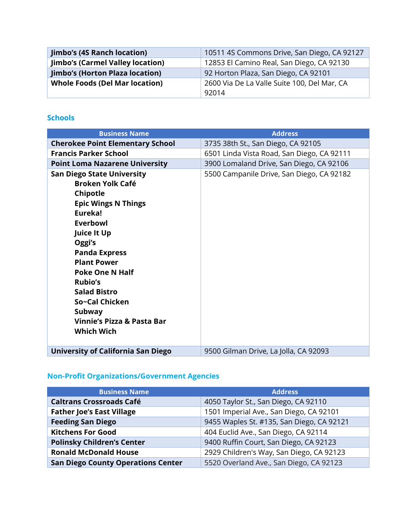| <b>Jimbo's (4S Ranch location)</b>      | 10511 4S Commons Drive, San Diego, CA 92127 |
|-----------------------------------------|---------------------------------------------|
| <b>Jimbo's (Carmel Valley location)</b> | 12853 El Camino Real, San Diego, CA 92130   |
| <b>Jimbo's (Horton Plaza location)</b>  | 92 Horton Plaza, San Diego, CA 92101        |
| <b>Whole Foods (Del Mar location)</b>   | 2600 Via De La Valle Suite 100, Del Mar, CA |
|                                         | 92014                                       |

#### **Schools**

| <b>Business Name</b>                      | <b>Address</b>                             |
|-------------------------------------------|--------------------------------------------|
| <b>Cherokee Point Elementary School</b>   | 3735 38th St., San Diego, CA 92105         |
| <b>Francis Parker School</b>              | 6501 Linda Vista Road, San Diego, CA 92111 |
| <b>Point Loma Nazarene University</b>     | 3900 Lomaland Drive, San Diego, CA 92106   |
| <b>San Diego State University</b>         | 5500 Campanile Drive, San Diego, CA 92182  |
| <b>Broken Yolk Café</b>                   |                                            |
| Chipotle                                  |                                            |
| <b>Epic Wings N Things</b>                |                                            |
| Eureka!                                   |                                            |
| Everbowl                                  |                                            |
| <b>Juice It Up</b>                        |                                            |
| Oggi's                                    |                                            |
| <b>Panda Express</b>                      |                                            |
| <b>Plant Power</b>                        |                                            |
| <b>Poke One N Half</b>                    |                                            |
| <b>Rubio's</b>                            |                                            |
| <b>Salad Bistro</b>                       |                                            |
| So~Cal Chicken                            |                                            |
| Subway<br>Vinnie's Pizza & Pasta Bar      |                                            |
|                                           |                                            |
| <b>Which Wich</b>                         |                                            |
| <b>University of California San Diego</b> | 9500 Gilman Drive, La Jolla, CA 92093      |

# **Non-Profit Organizations/Government Agencies**

| <b>Business Name</b>                      | <b>Address</b>                            |
|-------------------------------------------|-------------------------------------------|
| <b>Caltrans Crossroads Café</b>           | 4050 Taylor St., San Diego, CA 92110      |
| <b>Father Joe's East Village</b>          | 1501 Imperial Ave., San Diego, CA 92101   |
| <b>Feeding San Diego</b>                  | 9455 Waples St. #135, San Diego, CA 92121 |
| <b>Kitchens For Good</b>                  | 404 Euclid Ave., San Diego, CA 92114      |
| <b>Polinsky Children's Center</b>         | 9400 Ruffin Court, San Diego, CA 92123    |
| <b>Ronald McDonald House</b>              | 2929 Children's Way, San Diego, CA 92123  |
| <b>San Diego County Operations Center</b> | 5520 Overland Ave., San Diego, CA 92123   |